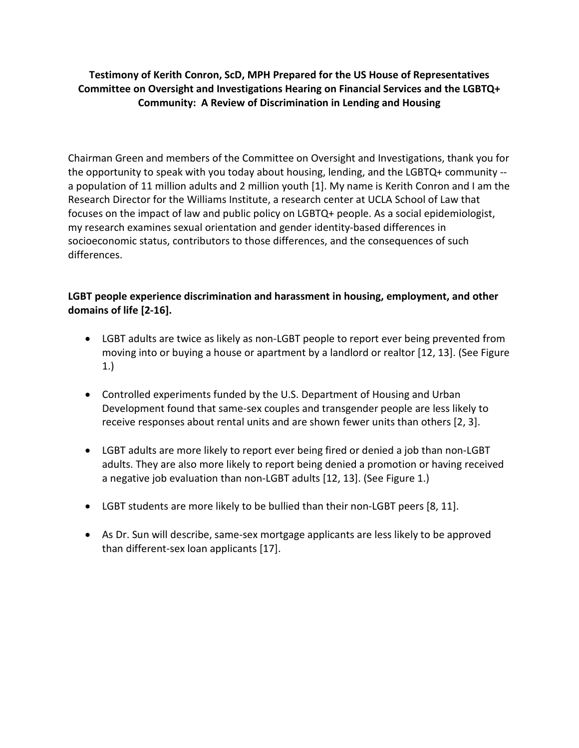## **Testimony of Kerith Conron, ScD, MPH Prepared for the US House of Representatives Committee on Oversight and Investigations Hearing on Financial Services and the LGBTQ+ Community: A Review of Discrimination in Lending and Housing**

Chairman Green and members of the Committee on Oversight and Investigations, thank you for the opportunity to speak with you today about housing, lending, and the LGBTQ+ community - a population of 11 million adults and 2 million youth [1]. My name is Kerith Conron and I am the Research Director for the Williams Institute, a research center at UCLA School of Law that focuses on the impact of law and public policy on LGBTQ+ people. As a social epidemiologist, my research examines sexual orientation and gender identity-based differences in socioeconomic status, contributors to those differences, and the consequences of such differences.

## **LGBT people experience discrimination and harassment in housing, employment, and other domains of life [2-16].**

- LGBT adults are twice as likely as non-LGBT people to report ever being prevented from moving into or buying a house or apartment by a landlord or realtor [12, 13]. (See Figure 1.)
- Controlled experiments funded by the U.S. Department of Housing and Urban Development found that same-sex couples and transgender people are less likely to receive responses about rental units and are shown fewer units than others [2, 3].
- LGBT adults are more likely to report ever being fired or denied a job than non-LGBT adults. They are also more likely to report being denied a promotion or having received a negative job evaluation than non-LGBT adults [12, 13]. (See Figure 1.)
- LGBT students are more likely to be bullied than their non-LGBT peers [8, 11].
- As Dr. Sun will describe, same-sex mortgage applicants are less likely to be approved than different-sex loan applicants [17].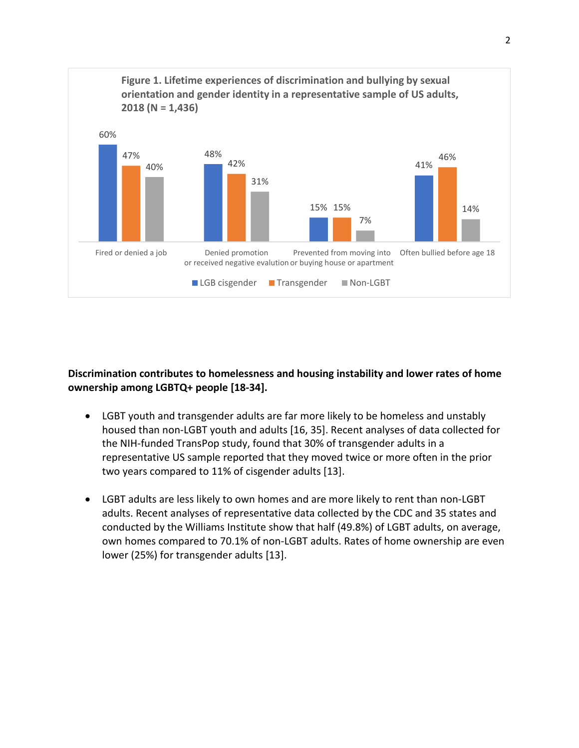

## **Discrimination contributes to homelessness and housing instability and lower rates of home ownership among LGBTQ+ people [18-34].**

- LGBT youth and transgender adults are far more likely to be homeless and unstably housed than non-LGBT youth and adults [16, 35]. Recent analyses of data collected for the NIH-funded TransPop study, found that 30% of transgender adults in a representative US sample reported that they moved twice or more often in the prior two years compared to 11% of cisgender adults [13].
- LGBT adults are less likely to own homes and are more likely to rent than non-LGBT adults. Recent analyses of representative data collected by the CDC and 35 states and conducted by the Williams Institute show that half (49.8%) of LGBT adults, on average, own homes compared to 70.1% of non-LGBT adults. Rates of home ownership are even lower (25%) for transgender adults [13].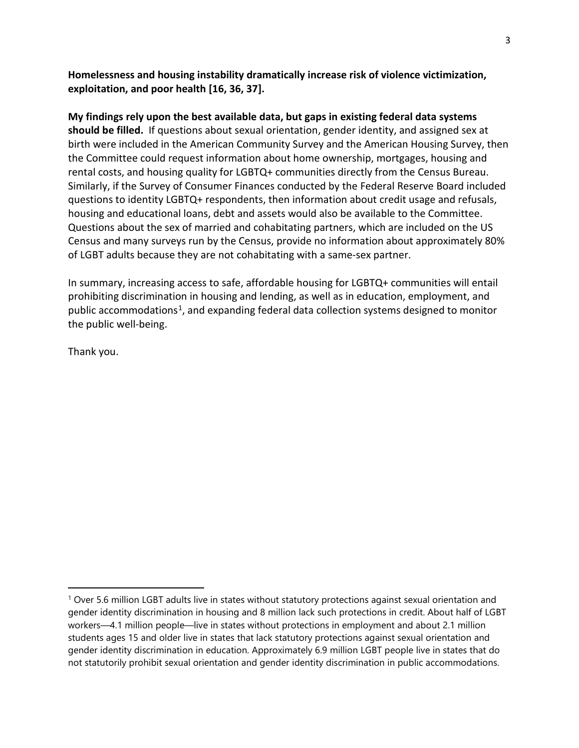**Homelessness and housing instability dramatically increase risk of violence victimization, exploitation, and poor health [16, 36, 37].** 

**My findings rely upon the best available data, but gaps in existing federal data systems should be filled.** If questions about sexual orientation, gender identity, and assigned sex at birth were included in the American Community Survey and the American Housing Survey, then the Committee could request information about home ownership, mortgages, housing and rental costs, and housing quality for LGBTQ+ communities directly from the Census Bureau. Similarly, if the Survey of Consumer Finances conducted by the Federal Reserve Board included questions to identity LGBTQ+ respondents, then information about credit usage and refusals, housing and educational loans, debt and assets would also be available to the Committee. Questions about the sex of married and cohabitating partners, which are included on the US Census and many surveys run by the Census, provide no information about approximately 80% of LGBT adults because they are not cohabitating with a same-sex partner.

In summary, increasing access to safe, affordable housing for LGBTQ+ communities will entail prohibiting discrimination in housing and lending, as well as in education, employment, and public accommodations<sup>1</sup>, and expanding federal data collection systems designed to monitor the public well-being.

Thank you.

l

<span id="page-2-0"></span><sup>1</sup> Over 5.6 million LGBT adults live in states without statutory protections against sexual orientation and gender identity discrimination in housing and 8 million lack such protections in credit. About half of LGBT workers—4.1 million people—live in states without protections in employment and about 2.1 million students ages 15 and older live in states that lack statutory protections against sexual orientation and gender identity discrimination in education. Approximately 6.9 million LGBT people live in states that do not statutorily prohibit sexual orientation and gender identity discrimination in public accommodations.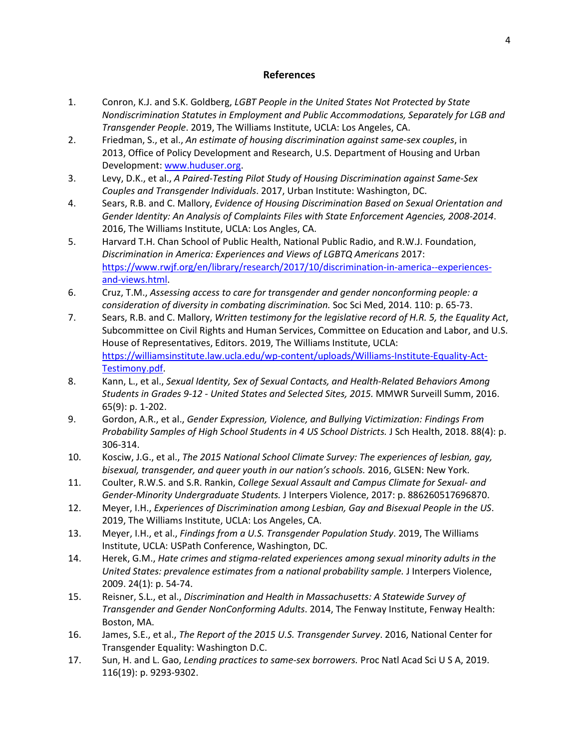## **References**

- 1. Conron, K.J. and S.K. Goldberg, *LGBT People in the United States Not Protected by State Nondiscrimination Statutes in Employment and Public Accommodations, Separately for LGB and Transgender People*. 2019, The Williams Institute, UCLA: Los Angeles, CA.
- 2. Friedman, S., et al., *An estimate of housing discrimination against same-sex couples*, in 2013, Office of Policy Development and Research, U.S. Department of Housing and Urban Development: www.huduser.org.
- 3. Levy, D.K., et al., *A Paired-Testing Pilot Study of Housing Discrimination against Same-Sex Couples and Transgender Individuals*. 2017, Urban Institute: Washington, DC.
- 4. Sears, R.B. and C. Mallory, *Evidence of Housing Discrimination Based on Sexual Orientation and Gender Identity: An Analysis of Complaints Files with State Enforcement Agencies, 2008-2014*. 2016, The Williams Institute, UCLA: Los Angles, CA.
- 5. Harvard T.H. Chan School of Public Health, National Public Radio, and R.W.J. Foundation, *Discrimination in America: Experiences and Views of LGBTQ Americans* 2017: [https://www.rwjf.org/en/library/research/2017/10/discrimination-in-america--experiences](https://www.rwjf.org/en/library/research/2017/10/discrimination-in-america--experiences-and-views.html)[and-views.html.](https://www.rwjf.org/en/library/research/2017/10/discrimination-in-america--experiences-and-views.html)
- 6. Cruz, T.M., *Assessing access to care for transgender and gender nonconforming people: a consideration of diversity in combating discrimination.* Soc Sci Med, 2014. 110: p. 65-73.
- 7. Sears, R.B. and C. Mallory, *Written testimony for the legislative record of H.R. 5, the Equality Act*, Subcommittee on Civil Rights and Human Services, Committee on Education and Labor, and U.S. House of Representatives, Editors. 2019, The Williams Institute, UCLA: [https://williamsinstitute.law.ucla.edu/wp-content/uploads/Williams-Institute-Equality-Act-](https://williamsinstitute.law.ucla.edu/wp-content/uploads/Williams-Institute-Equality-Act-Testimony.pdf)[Testimony.pdf.](https://williamsinstitute.law.ucla.edu/wp-content/uploads/Williams-Institute-Equality-Act-Testimony.pdf)
- 8. Kann, L., et al., *Sexual Identity, Sex of Sexual Contacts, and Health-Related Behaviors Among Students in Grades 9-12 - United States and Selected Sites, 2015.* MMWR Surveill Summ, 2016. 65(9): p. 1-202.
- 9. Gordon, A.R., et al., *Gender Expression, Violence, and Bullying Victimization: Findings From Probability Samples of High School Students in 4 US School Districts.* J Sch Health, 2018. 88(4): p. 306-314.
- 10. Kosciw, J.G., et al., *The 2015 National School Climate Survey: The experiences of lesbian, gay, bisexual, transgender, and queer youth in our nation's schools.* 2016, GLSEN: New York.
- 11. Coulter, R.W.S. and S.R. Rankin, *College Sexual Assault and Campus Climate for Sexual- and Gender-Minority Undergraduate Students.* J Interpers Violence, 2017: p. 886260517696870.
- 12. Meyer, I.H., *Experiences of Discrimination among Lesbian, Gay and Bisexual People in the US*. 2019, The Williams Institute, UCLA: Los Angeles, CA.
- 13. Meyer, I.H., et al., *Findings from a U.S. Transgender Population Study*. 2019, The Williams Institute, UCLA: USPath Conference, Washington, DC.
- 14. Herek, G.M., *Hate crimes and stigma-related experiences among sexual minority adults in the United States: prevalence estimates from a national probability sample.* J Interpers Violence, 2009. 24(1): p. 54-74.
- 15. Reisner, S.L., et al., *Discrimination and Health in Massachusetts: A Statewide Survey of Transgender and Gender NonConforming Adults*. 2014, The Fenway Institute, Fenway Health: Boston, MA.
- 16. James, S.E., et al., *The Report of the 2015 U.S. Transgender Survey*. 2016, National Center for Transgender Equality: Washington D.C.
- 17. Sun, H. and L. Gao, *Lending practices to same-sex borrowers.* Proc Natl Acad Sci U S A, 2019. 116(19): p. 9293-9302.